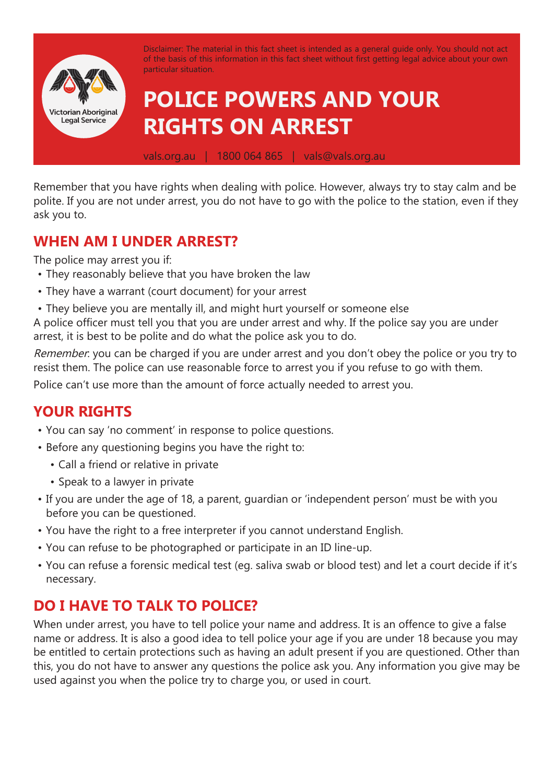

Remember that you have rights when dealing with police. However, always try to stay calm and be polite. If you are not under arrest, you do not have to go with the police to the station, even if they ask you to.

## **WHEN AM I UNDER ARREST?**

The police may arrest you if:

- They reasonably believe that you have broken the law
- They have a warrant (court document) for your arrest
- They believe you are mentally ill, and might hurt yourself or someone else

A police officer must tell you that you are under arrest and why. If the police say you are under arrest, it is best to be polite and do what the police ask you to do.

Remember: you can be charged if you are under arrest and you don't obey the police or you try to resist them. The police can use reasonable force to arrest you if you refuse to go with them.

Police can't use more than the amount of force actually needed to arrest you.

## **YOUR RIGHTS**

- You can say 'no comment' in response to police questions.
- Before any questioning begins you have the right to:
	- Call a friend or relative in private
	- Speak to a lawyer in private
- If you are under the age of 18, a parent, guardian or 'independent person' must be with you before you can be questioned.
- You have the right to a free interpreter if you cannot understand English.
- You can refuse to be photographed or participate in an ID line-up.
- You can refuse a forensic medical test (eg. saliva swab or blood test) and let a court decide if it's necessary.

## **DO I HAVE TO TALK TO POLICE?**

When under arrest, you have to tell police your name and address. It is an offence to give a false name or address. It is also a good idea to tell police your age if you are under 18 because you may be entitled to certain protections such as having an adult present if you are questioned. Other than this, you do not have to answer any questions the police ask you. Any information you give may be used against you when the police try to charge you, or used in court.